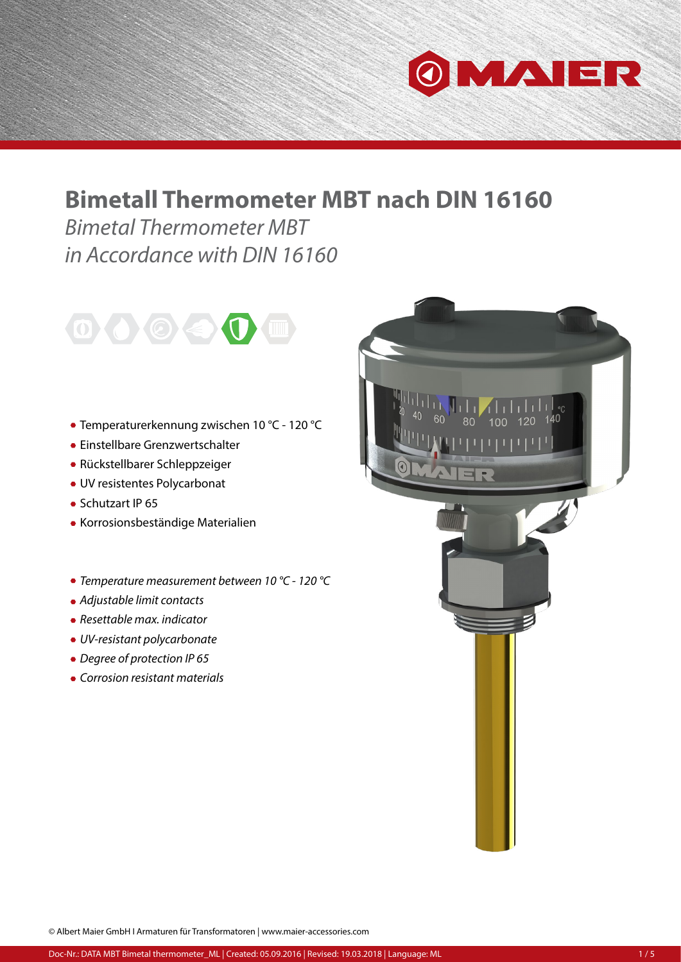

## **Bimetall Thermometer MBT nach DIN 16160**

*Bimetal Thermometer MBT in Accordance with DIN 16160*



- Temperaturerkennung zwischen 10 °C 120 °C
- Einstellbare Grenzwertschalter
- Rückstellbarer Schleppzeiger
- UV resistentes Polycarbonat
- Schutzart IP 65
- Korrosionsbeständige Materialien
- *Temperature measurement between 10 °C 120 °C*
- *Adjustable limit contacts*
- *Resettable max. indicator*
- *UV-resistant polycarbonate*
- *Degree of protection IP 65*
- *Corrosion resistant materials*



© Albert Maier GmbH I Armaturen für Transformatoren | www.maier-accessories.com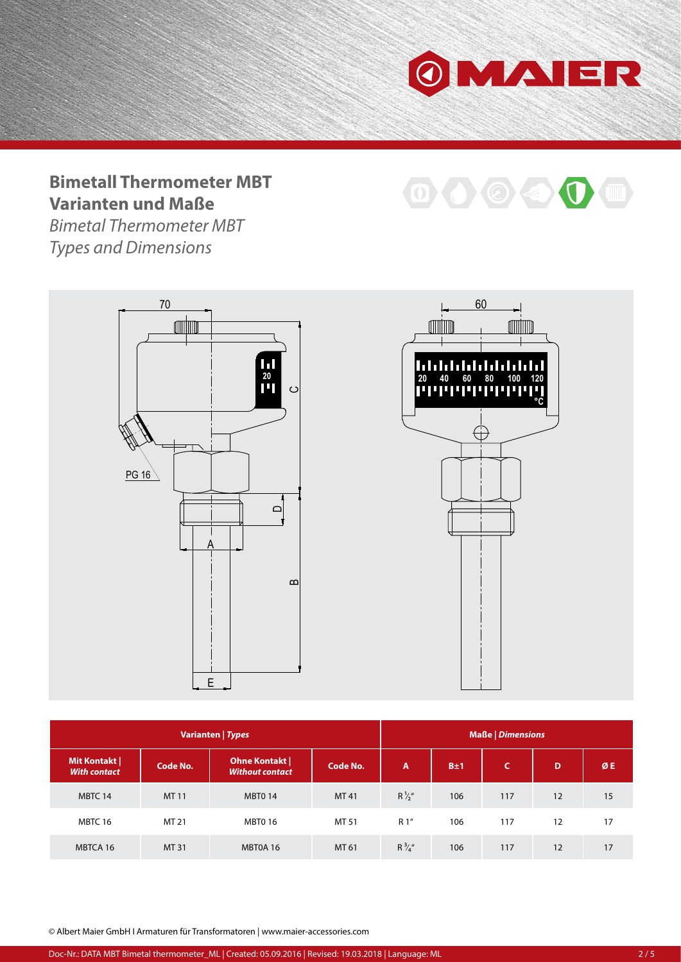

OOOO

## **Bimetall Thermometer MBT Varianten und Maße**

*Bimetal Thermometer MBT Types and Dimensions*





| Varianten   Types                  |          |                                               |                 | <b>Maße   Dimensions</b> |     |          |    |    |
|------------------------------------|----------|-----------------------------------------------|-----------------|--------------------------|-----|----------|----|----|
| Mit Kontakt<br><b>With contact</b> | Code No. | <b>Ohne Kontakt</b><br><b>Without contact</b> | <b>Code No.</b> | $\overline{A}$           | B±1 | <b>C</b> | D  | ØE |
| MBTC 14                            | MT 11    | <b>MBT0 14</b>                                | MT41            | $R\frac{1}{2}$ "         | 106 | 117      | 12 | 15 |
| MBTC 16                            | MT 21    | <b>MBT0 16</b>                                | MT 51           | R 1"                     | 106 | 117      | 12 | 17 |
| MBTCA 16                           | MT 31    | MBT0A 16                                      | MT 61           | $R\frac{3}{4}$ "         | 106 | 117      | 12 | 17 |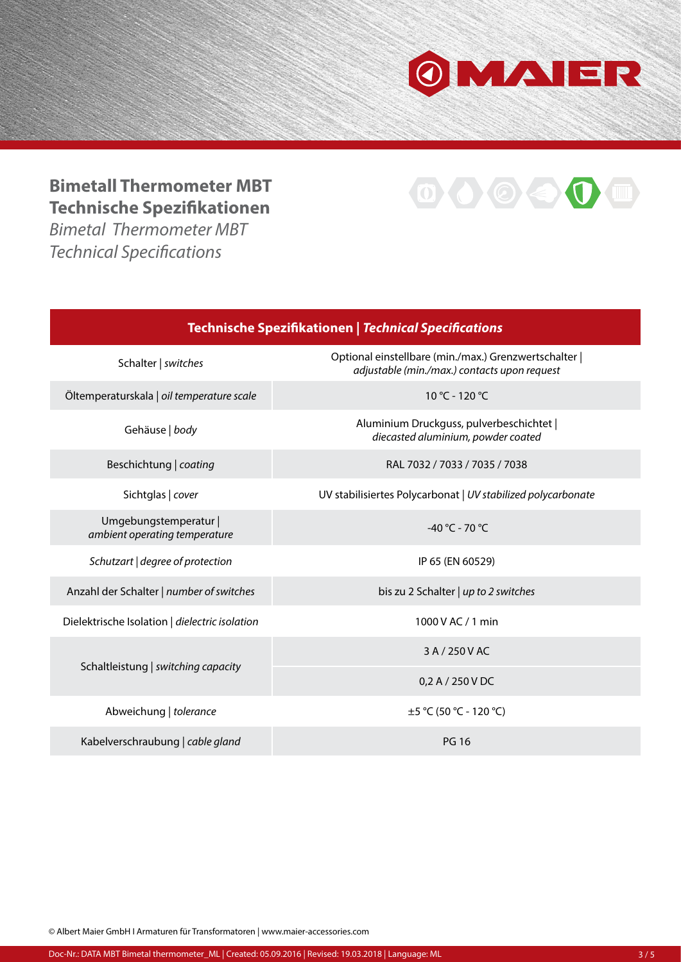

 $\mathbf{0} \Leftrightarrow \mathbf{0}$ 

## **Bimetall Thermometer MBT Technische Spezifikationen**

*Bimetal Thermometer MBT Technical Specifications*



© Albert Maier GmbH I Armaturen für Transformatoren | www.maier-accessories.com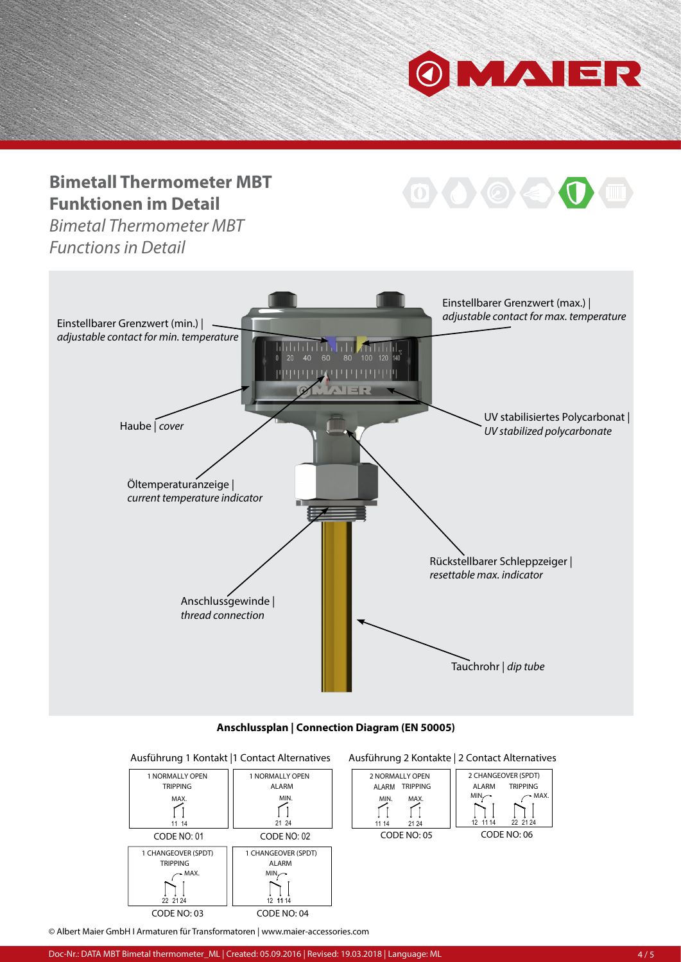

O < C

## **Bimetall Thermometer MBT Funktionen im Detail**

*Bimetal Thermometer MBT Functions in Detail*









© Albert Maier GmbH I Armaturen für Transformatoren | www.maier-accessories.com